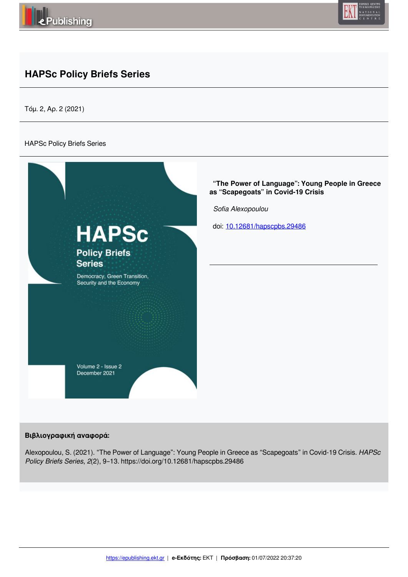



## **HAPSc Policy Briefs Series**

Τόμ. 2, Αρ. 2 (2021)

#### HAPSc Policy Briefs Series



#### **Βιβλιογραφική αναφορά:**

Alexopoulou, S. (2021). "The Power of Language": Young People in Greece as "Scapegoats" in Covid-19 Crisis. *HAPSc Policy Briefs Series*, *2*(2), 9–13. https://doi.org/10.12681/hapscpbs.29486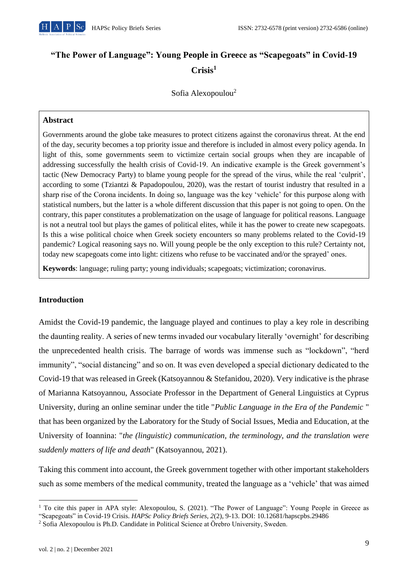

# **"The Power of Language": Young People in Greece as "Scapegoats" in Covid-19 Crisis<sup>1</sup>**

## Sofia Alexopoulou<sup>2</sup>

#### **Abstract**

Governments around the globe take measures to protect citizens against the coronavirus threat. At the end of the day, security becomes a top priority issue and therefore is included in almost every policy agenda. In light of this, some governments seem to victimize certain social groups when they are incapable of addressing successfully the health crisis of Covid-19. An indicative example is the Greek government's tactic (New Democracy Party) to blame young people for the spread of the virus, while the real 'culprit', according to some (Tziantzi & Papadopoulou, 2020), was the restart of tourist industry that resulted in a sharp rise of the Corona incidents. In doing so, language was the key 'vehicle' for this purpose along with statistical numbers, but the latter is a whole different discussion that this paper is not going to open. On the contrary, this paper constitutes a problematization on the usage of language for political reasons. Language is not a neutral tool but plays the games of political elites, while it has the power to create new scapegoats. Is this a wise political choice when Greek society encounters so many problems related to the Covid-19 pandemic? Logical reasoning says no. Will young people be the only exception to this rule? Certainty not, today new scapegoats come into light: citizens who refuse to be vaccinated and/or the sprayed' ones.

**Keywords**: language; ruling party; young individuals; scapegoats; victimization; coronavirus.

#### **Introduction**

Amidst the Covid-19 pandemic, the language played and continues to play a key role in describing the daunting reality. A series of new terms invaded our vocabulary literally 'overnight' for describing the unprecedented health crisis. The barrage of words was immense such as "lockdown", "herd immunity", "social distancing" and so on. It was even developed a special dictionary dedicated to the Covid-19 that was released in Greek (Katsoyannou & Stefanidou, 2020). Very indicative is the phrase of Marianna Katsoyannou, Associate Professor in the Department of General Linguistics at Cyprus University, during an online seminar under the title "*Public Language in the Era of the Pandemic* " that has been organized by the Laboratory for the Study of Social Issues, Media and Education, at the University of Ioannina: "*the (linguistic) communication, the terminology, and the translation were suddenly matters of life and death*" (Katsoyannou, 2021).

Taking this comment into account, the Greek government together with other important stakeholders such as some members of the medical community, treated the language as a 'vehicle' that was aimed

<sup>&</sup>lt;sup>1</sup> To cite this paper in APA style: Alexopoulou, S. (2021). "The Power of Language": Young People in Greece as "Scapegoats" in Covid-19 Crisis. *HAPSc Policy Briefs Series, 2*(2), 9-13. DOI: 10.12681/hapscpbs.29486

<sup>2</sup> Sofia Alexopoulou is Ph.D. Candidate in Political Science at Örebro University, Sweden.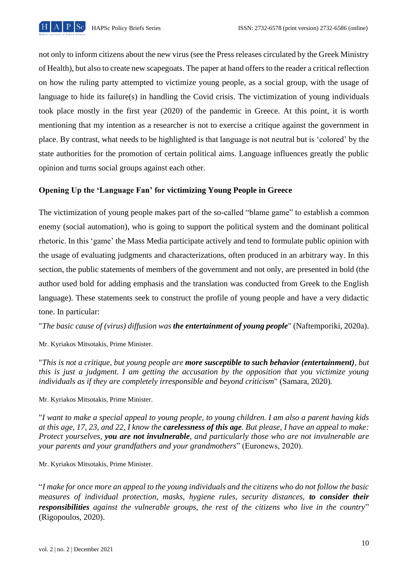

not only to inform citizens about the new virus (see the Press releases circulated by the Greek Ministry of Health), but also to create new scapegoats. The paper at hand offers to the reader a critical reflection on how the ruling party attempted to victimize young people, as a social group, with the usage of language to hide its failure(s) in handling the Covid crisis. The victimization of young individuals took place mostly in the first year (2020) of the pandemic in Greece. At this point, it is worth mentioning that my intention as a researcher is not to exercise a critique against the government in place. By contrast, what needs to be highlighted is that language is not neutral but is 'colored' by the state authorities for the promotion of certain political aims. Language influences greatly the public opinion and turns social groups against each other.

## **Opening Up the 'Language Fan' for victimizing Young People in Greece**

The victimization of young people makes part of the so-called "blame game" to establish a common enemy (social automation), who is going to support the political system and the dominant political rhetoric. In this 'game' the Mass Media participate actively and tend to formulate public opinion with the usage of evaluating judgments and characterizations, often produced in an arbitrary way. In this section, the public statements of members of the government and not only, are presented in bold (the author used bold for adding emphasis and the translation was conducted from Greek to the English language). These statements seek to construct the profile of young people and have a very didactic tone. In particular:

"*The basic cause of (virus) diffusion was the entertainment of young people*" (Naftemporiki, 2020a).

Mr. Kyriakos Mitsotakis, Prime Minister.

"*This is not a critique, but young people are more susceptible to such behavior (entertainment), but this is just a judgment. I am getting the accusation by the opposition that you victimize young individuals as if they are completely irresponsible and beyond criticism*" (Samara, 2020).

Mr. Kyriakos Mitsotakis, Prime Minister.

"*I want to make a special appeal to young people, to young children. I am also a parent having kids at this age, 17, 23, and 22, I know the carelessness of this age. But please, I have an appeal to make: Protect yourselves, you are not invulnerable, and particularly those who are not invulnerable are your parents and your grandfathers and your grandmothers*" (Euronews, 2020).

Mr. Kyriakos Mitsotakis, Prime Minister.

"*I make for once more an appeal to the young individuals and the citizens who do not follow the basic measures of individual protection, masks, hygiene rules, security distances, to consider their responsibilities against the vulnerable groups, the rest of the citizens who live in the country*" (Rigopoulos, 2020).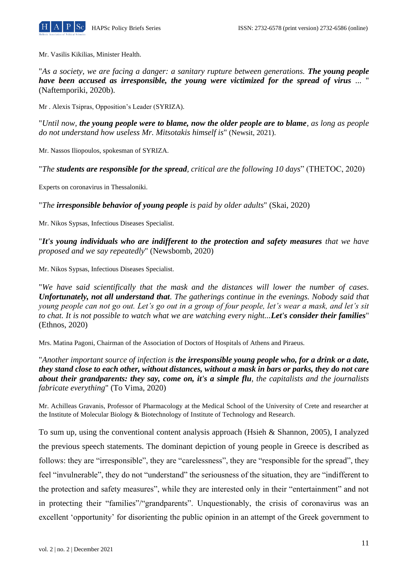

Mr. Vasilis Kikilias, Minister Health.

"As a society, we are facing a danger: a sanitary rupture between generations. **The young people** *have been accused as irresponsible, the young were victimized for the spread of virus ...* " (Naftemporiki, 2020b).

Mr . Alexis Tsipras, Opposition's Leader (SYRIZA).

"*Until now, the young people were to blame, now the older people are to blame, as long as people do not understand how useless Mr. Mitsotakis himself is*" (Newsit, 2021).

Mr. Nassos Iliopoulos, spokesman of SYRIZA.

"*The students are responsible for the spread, critical are the following 10 days*" (THETOC, 2020)

Experts on coronavirus in Thessaloniki.

"*The irresponsible behavior of young people is paid by older adults*" (Skai, 2020)

Mr. Nikos Sypsas, Infectious Diseases Specialist.

"*It's young individuals who are indifferent to the protection and safety measures that we have proposed and we say repeatedly*" (Newsbomb, 2020)

Mr. Nikos Sypsas, Infectious Diseases Specialist.

"*We have said scientifically that the mask and the distances will lower the number of cases. Unfortunately, not all understand that. The gatherings continue in the evenings. Nobody said that young people can not go out. Let's go out in a group of four people, let's wear a mask, and let's sit to chat. It is not possible to watch what we are watching every night...Let's consider their families*" (Ethnos, 2020)

Mrs. Matina Pagoni, Chairman of the Association of Doctors of Hospitals of Athens and Piraeus.

"*Another important source of infection is the irresponsible young people who, for a drink or a date, they stand close to each other, without distances, without a mask in bars or parks, they do not care about their grandparents: they say, come on, it's a simple flu, the capitalists and the journalists fabricate everything*" (To Vima, 2020)

Mr. Achilleas Gravanis, Professor of Pharmacology at the Medical School of the University of Crete and researcher at the Institute of Molecular Biology & Biotechnology of Institute of Technology and Research.

To sum up, using the conventional content analysis approach (Hsieh & Shannon, 2005), I analyzed the previous speech statements. The dominant depiction of young people in Greece is described as follows: they are "irresponsible", they are "carelessness", they are "responsible for the spread", they feel "invulnerable", they do not "understand" the seriousness of the situation, they are "indifferent to the protection and safety measures", while they are interested only in their "entertainment" and not in protecting their "families"/"grandparents". Unquestionably, the crisis of coronavirus was an excellent 'opportunity' for disorienting the public opinion in an attempt of the Greek government to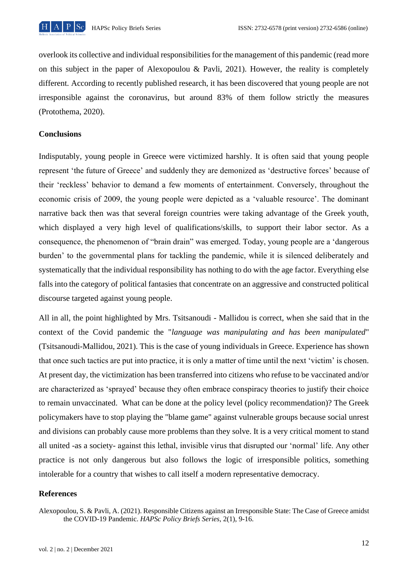

overlook its collective and individual responsibilities for the management of this pandemic (read more on this subject in the paper of Alexopoulou & Pavli, 2021). However, the reality is completely different. According to recently published research, it has been discovered that young people are not irresponsible against the coronavirus, but around 83% of them follow strictly the measures (Protothema, 2020).

#### **Conclusions**

Indisputably, young people in Greece were victimized harshly. It is often said that young people represent 'the future of Greece' and suddenly they are demonized as 'destructive forces' because of their 'reckless' behavior to demand a few moments of entertainment. Conversely, throughout the economic crisis of 2009, the young people were depicted as a 'valuable resource'. The dominant narrative back then was that several foreign countries were taking advantage of the Greek youth, which displayed a very high level of qualifications/skills, to support their labor sector. As a consequence, the phenomenon of "brain drain" was emerged. Today, young people are a 'dangerous burden' to the governmental plans for tackling the pandemic, while it is silenced deliberately and systematically that the individual responsibility has nothing to do with the age factor. Everything else falls into the category of political fantasies that concentrate on an aggressive and constructed political discourse targeted against young people.

All in all, the point highlighted by Mrs. Tsitsanoudi - Mallidou is correct, when she said that in the context of the Covid pandemic the "*language was manipulating and has been manipulated*" (Tsitsanoudi-Mallidou, 2021). This is the case of young individuals in Greece. Experience has shown that once such tactics are put into practice, it is only a matter of time until the next 'victim' is chosen. At present day, the victimization has been transferred into citizens who refuse to be vaccinated and/or are characterized as 'sprayed' because they often embrace conspiracy theories to justify their choice to remain unvaccinated. What can be done at the policy level (policy recommendation)? The Greek policymakers have to stop playing the "blame game" against vulnerable groups because social unrest and divisions can probably cause more problems than they solve. It is a very critical moment to stand all united -as a society- against this lethal, invisible virus that disrupted our 'normal' life. Any other practice is not only dangerous but also follows the logic of irresponsible politics, something intolerable for a country that wishes to call itself a modern representative democracy.

#### **References**

Alexopoulou, S. & Pavli, A. (2021). Responsible Citizens against an Irresponsible State: The Case of Greece amidst the COVID-19 Pandemic. *HAPSc Policy Briefs Series*, 2(1), 9-16.